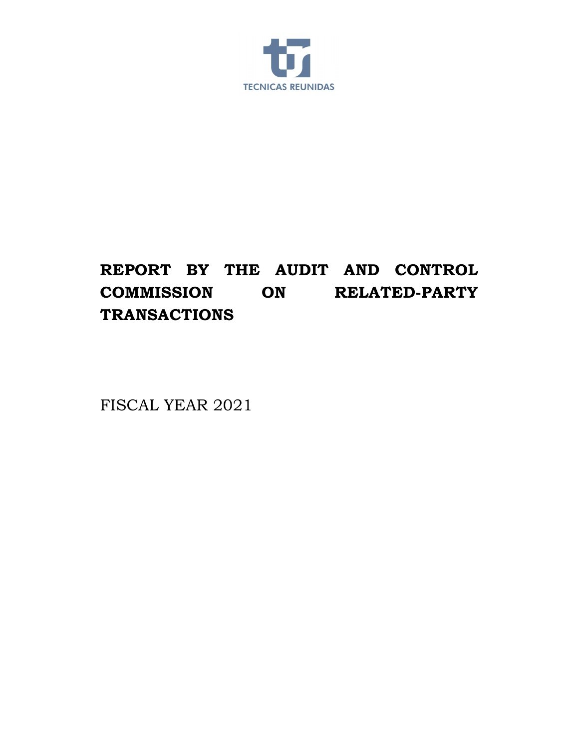

## **REPORT BY THE AUDIT AND CONTROL COMMISSION ON RELATED-PARTY TRANSACTIONS**

FISCAL YEAR 2021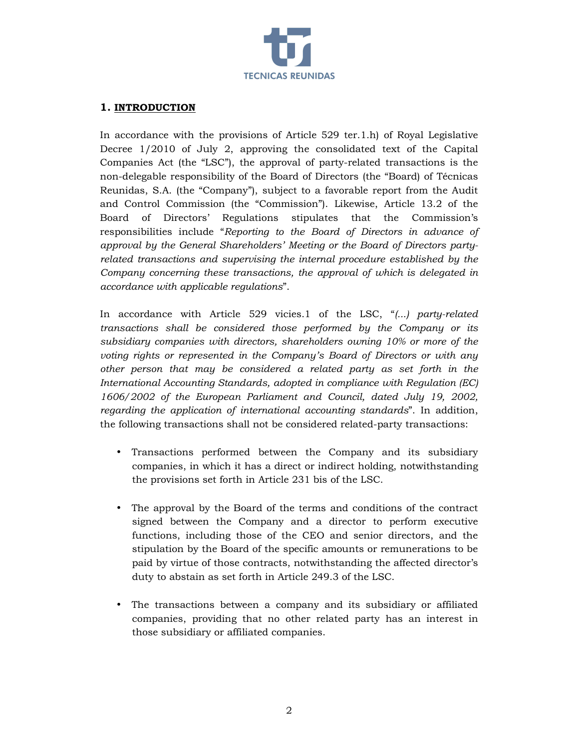

## **1. INTRODUCTION**

In accordance with the provisions of Article 529 ter.1.h) of Royal Legislative Decree 1/2010 of July 2, approving the consolidated text of the Capital Companies Act (the "LSC"), the approval of party-related transactions is the non-delegable responsibility of the Board of Directors (the "Board) of Técnicas Reunidas, S.A. (the "Company"), subject to a favorable report from the Audit and Control Commission (the "Commission"). Likewise, Article 13.2 of the Board of Directors' Regulations stipulates that the Commission's responsibilities include "*Reporting to the Board of Directors in advance of approval by the General Shareholders' Meeting or the Board of Directors partyrelated transactions and supervising the internal procedure established by the Company concerning these transactions, the approval of which is delegated in accordance with applicable regulations*".

In accordance with Article 529 vicies.1 of the LSC, "*(...) party-related transactions shall be considered those performed by the Company or its subsidiary companies with directors, shareholders owning 10% or more of the voting rights or represented in the Company's Board of Directors or with any other person that may be considered a related party as set forth in the International Accounting Standards, adopted in compliance with Regulation (EC) 1606/2002 of the European Parliament and Council, dated July 19, 2002, regarding the application of international accounting standards*". In addition, the following transactions shall not be considered related-party transactions:

- Transactions performed between the Company and its subsidiary companies, in which it has a direct or indirect holding, notwithstanding the provisions set forth in Article 231 bis of the LSC.
- The approval by the Board of the terms and conditions of the contract signed between the Company and a director to perform executive functions, including those of the CEO and senior directors, and the stipulation by the Board of the specific amounts or remunerations to be paid by virtue of those contracts, notwithstanding the affected director's duty to abstain as set forth in Article 249.3 of the LSC.
- The transactions between a company and its subsidiary or affiliated companies, providing that no other related party has an interest in those subsidiary or affiliated companies.